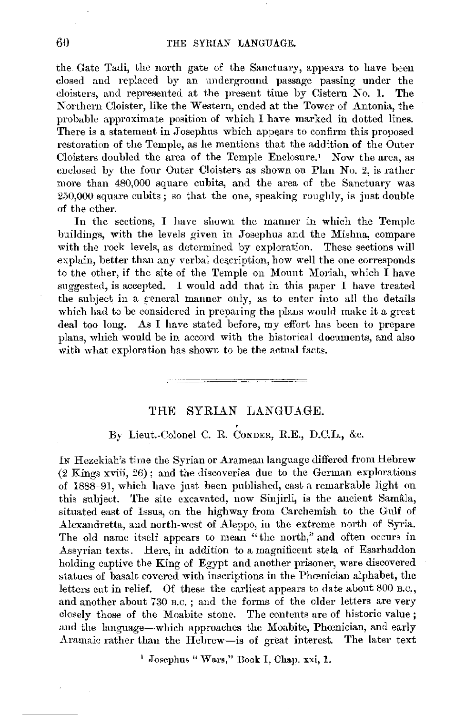the Gate Tadi, the north gate of the Sanctuary, appears to have been closed and replaced by an underground passage passing under the doisters, and represented at the present time by Cistern No. **1.** The Northern Cloister, like the Western, ended at the Tower of Antonia, the probable approximate position of which I have marked in dotted lines. There is a statement in Josephus which appears to confirm this proposed restoration of the Temple, as he mentions that the addition of the Outer Cloisters doubled the area of the Temple Enclosure.' Now the area, as enclosed by the four Outer Cloisters as shown on Plan No. *2,* is rather more than 480,000 square cubits, aml the area of the Sanctuary was 250,000 square cubits; so that the one, speaking roughly, is just double of the other.

In the sections, I have shown the manner in which the Temple buildings, with the levels given in Josephus and the Mislma, compare with the rock levels, as determined by exploration. These sections will explain, better than any verbal description, how well the one corresponds to the other, if the site of the Temple on Mount Moriah, which I have suggested, is accepted. I would add that in this paper I have treated the subject in a general manner only, as to enter into all the details which had to be considered in preparing the plans would make it a great deal too long. As I have stated before, my effort has been to prepare plans, which would be in accord with the historical documents, and also with what exploration has shown to be the actual facts.

## THE SYRIAN LANGUAGE.

## By Lieut.-Colonel C. R. CONDER, R.E., D.C.L., &c.

IN Hezekiah's time the Syrian or Aramean language differed from Hebrew  $(2 \text{ Kings xviii}, 26)$ : and the discoveries due to the German explorations of 1888-91, which have just been published, cast a remarkable light on this snbjeet. The site excavated, now Sinjirli, is the ancient Samala, situated east of Issus, on the highway from Carchemish to the Gulf of Alexandretta, and north-west of Aleppo, in the extreme north of Syria. The old name itself appears to mean "the north," and often occurs in Assyrian texts. Here, in addition to a magnificent stela of Esarhaddon holding captive the King of Egypt and another prisoner, were discovered statues of basalt covered with inscriptions in the Phœnician alphabet, the letters cut in relief. Of these the earliest appears to date about 800 B.c., and another about 730 R.C. ; and the forms of the older letters are very closely those of the Moabite stone. The contents are of historic value; and the language-which approaches the Moabite, Phoenician, and early Aramaic rather than the Hebrew-is of great interest. The later text

1 Josephus" Wars," Book I, Chap. xxi, 1.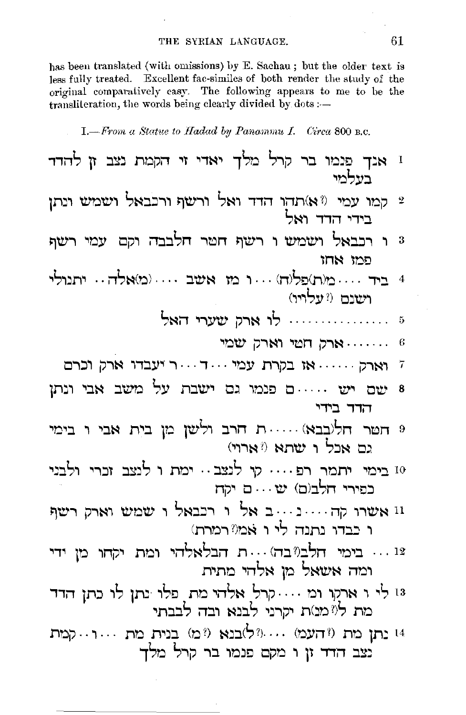has been translated (with omissions) by E. Sachau; but the older text is less fully treated. Excellent fac-similes of both render the study of the original comparatively easy. The following appears to me to be the transliteration, the words being clearly divided by dots :-

I. - From a Statue to Hadad by Panammu I. Circa 800 B.C.

| ו אנך פְנמו בר קרל מלך יאדי זי הקמת נצב זן להדד<br>בעלמי                            |
|-------------------------------------------------------------------------------------|
| קמו עמי <sup>(ז א)</sup> תהו הדד ואל ורשף ורבבאל ושמש ונתן 2<br>בידי הדד ואל        |
| ו רכבאל ושמש ו רשף חטר חלבבה וקם עמי רשף<br>פמו אחו                                 |
| 4 ביד מ(ת)פל(ה)  ו מו אשב  (מ)אלה יתנולי<br>ושנם (?עלויו)                           |
| 5  לו ארק שערי האל                                                                  |
| ארק שמי הארק הארק אמי $\cdots$                                                      |
| <i>ו</i> וארק  אז בקרת עמי דר יעבדו ארק וכרם                                        |
| 8 שם יש ….ם פנמו גם ישבת על משב אבי ונתן<br>הדד בידי                                |
| e חטר חל(בבא) ת חרב ולשן מן בית אבי ו בימי<br>גם אכל ו שתא ('ארוי)                  |
| 10 בימי יתמר רפ…. קי לנצב… ימת ו לנצב זכרי ולבני<br>כפירי חלב(ם) ש                  |
| וו אשרו קה נ ב אל ו רכבאל ו שמש וארק רשף<br>ו כבדו נתנה לי ו אמ? רמרת)              |
| 12  בימי חלבו?בה) ת הבלאלהי ומת יקחו מן ידי<br>ומה אשאל מן אלהי מתית                |
| 13 לי ו ארמו ומ קרל אלהי מת פלו נתן לו כתן הדד<br>מת ליומנות יקרני לבנא ובה לבבתי   |
| 14 נתן מת ("העמ) (?ל)בנא (?מ) בנית מת רקמת<br>.<br>נצב הדד זן ו מקם פנמו בר קרל מלך |
|                                                                                     |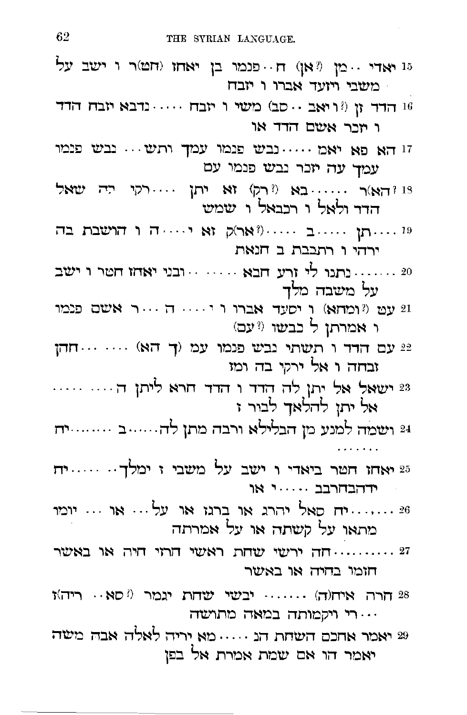| 15 יאדי <sub>י</sub> מן (?אן) ח <sub>'</sub> פנמו בן יאחו (חט)ר ו ישב על<br>משבי ויזעד אברו ו יזבח |
|----------------------------------------------------------------------------------------------------|
| הדד הרד (וואב סב) היי הבח הינדבא הבח הרד $\cdots$ הרד הרד ה<br>ו יזכר אשם הדד או                   |
| זו הא פא יאמ נבש פנמו עמך ותש נבש פנמו<br>עמך עה יזכר נבש פנמו עם                                  |
| וּ וּהַאַ)ר  בא (וֹרַק) זא יתן רקי ידה שאל<br>הדר ולאל ו רכבאל ו שמש                               |
| ה הושבת בה $\cdots$ ואר)<br>ק $\cdots$ אר או הושבת ה $\cdots$ ו<br>ירהי ו רתבבת ב חנאת             |
| 20 ……. נתנו לי ורע חבא …… . ובני יאחו חטר ו ישב<br>על משבה מלך                                     |
| ו<br>עט (ומחא) ו יסעד אברו ו יווחו אישם פנמו (ו<br>ו אמרתן ל כבשו (?עם)                            |
| עם הדד ו תשתי נבש פנמו עמ (ך הא) $\cdots$ חהן<br>זבחה ו אל ירקי בה ומז                             |
| 23 ישאל אל יתן לה הדד ו הדד חרא ליתן ה<br>אל יתן להלאך לבור ז                                      |
| 24 ושמה למנע מן הבלילא ורבה מתן לה……ב ………ית                                                        |
| 25 יאחו חטר ביאדי ו ישב על משבי ז ימלך… … יח<br>ידהבחרבב  או                                       |
| 26 יח סאל יהרג או ברנז או על או  יומו<br>מתאו על קשתה או על אמרתה                                  |
| ירשי שחת ראשי הרזי היה או באשר האשי הרזי היה ה<br>חומו בחיה או באשר                                |
| ריה)<br>ו $\cdots$ וגמר היא היה יצחת היחוד)<br>ו $28$<br>רי ויקמותה במאה מתושה                     |
| 29 יאמר אחנם השחת הנ $\cdots$ מא יריה לאלה אבה משה<br>יאמר הו אם שמת אמרת אל בפן                   |
|                                                                                                    |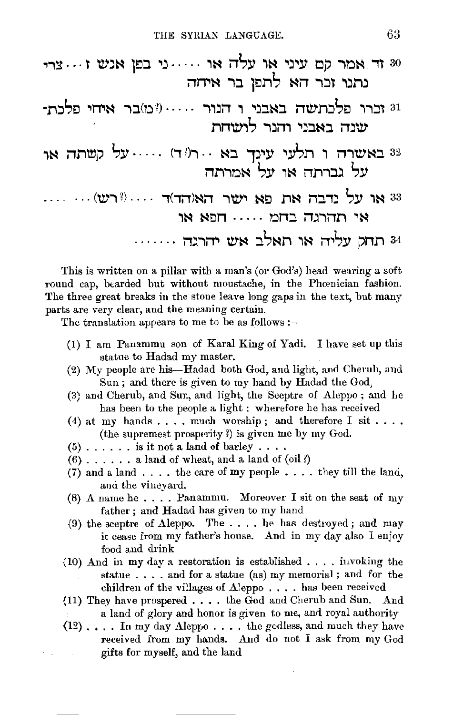| 80 זד אמר קם עיני או עלה או ני בפן אנש זצרי<br>נתנו זכר הא לתפן בר איהה |  |
|-------------------------------------------------------------------------|--|
| ו: זכרו פלכתשה באבני ו הנור (?מ)בר איחי פלכת<br>שנה באבני והנר לושחת    |  |
| 32 באשרה ו תלעי עינך בא רו?ד) על קשתה או:<br>על גברתה או על אמרתה       |  |
| 33 או על נדבה את פא ישר האוהד)ד  (?רש)<br>או תהרגה בחמ                  |  |
| 34 תחק עליה או תאלב אש יהרגה                                            |  |

This is written on a pillar with a man's (or God's) head wearing a soft round cap, bearded but without moustache, in the Phoenician fashion. The three great breaks in the stone leave long gaps in the text, but many parts are very clear, and the meaning certain.

The translation appears to me to be as follows :-

- (1) I am Panammu son of Karal King of Yadi. I have set up this statue to Hadad my master.
- (2) My people are his-Hadad both God, and light, and Cherub, and Sun; and there is given to my hand by Hadad the God.
- (3) and Cherub, and Sun, and light, the Sceptre of Aleppo; and he has been to the people a light : wherefore he has received
- (4) at my hands . . . . much worship; and therefore I sit . . . . (the supremest prosperity?) is given me by my God.
- $(5)$ ...... is it not a land of barley....
- $(6)$ ...... a land of wheat, and a land of  $\text{(oil ?)}$
- (7) and a land . . . . the care of my people . . . . they till the land, and the vineyard.
- (8) A name he.... Panammu. Moreover I sit on the seat of my father; and Hadad has given to my hand
- (9) the sceptre of Aleppo. The .... he has destroyed; and may it cease from my father's house. And in my day also I enjoy food and drink
- $(10)$  And in my day a restoration is established .... invoking the statue . . . . and for a statue (as) my memorial; and for the children of the villages of Aleppo.... has been received
- (11) They have prospered . . . . the God and Cherub and Sun. And a land of glory and honor is given to me, and royal authority
- $(12)$ .... In my day Aleppo.... the godless, and much they have received from my hands. And do not I ask from my God gifts for myself, and the land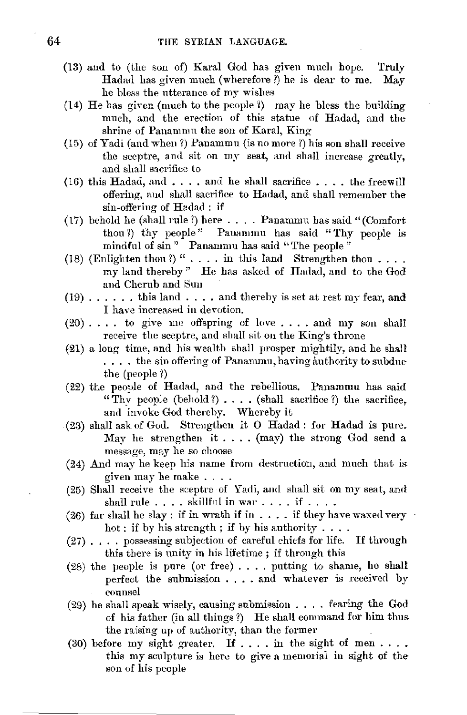- (13) and to (the son of) Karal God has given much hope. Truly Hadad has given much (wherefore?) he is dear to me. May he bless the utterance of my wishes
- (14) He has given (much to the people  $\ell$ ) may he bless the building much, and the erection of this statue of Hadad, and the shrine of Panammu the son of Karal, King
- (15) of Yadi (and when?) Panammu (is no more?) his son shall receive the sceptre, and sit on my seat, and shall increase greatly. and shall sacrifice to
- (16) this Hadad, and  $\dots$ . and he shall sacrifice  $\dots$ , the freewill offering, aml shall sacrifice to Hadad, and shall remember the sin-offering of Hadad: if
- (17) behold he (shall rule 1) here .... Panammu has said "(Comfort thou ?) thy people" Pauammu has said "Thy people is mindful of  $\sin$ " Panammu has said "The people"
- (18) (Enlighten thou ?) " .... in this land Strengthen thou .... my land thereby" He has asked of Hadad, and to the God and Cherub and Sun
- $(19)$ ...... this land .... and thereby is set at rest my fear, and I have increased in devotion.
- $(20)$ .... to give me offspring of love.... and my son shall receive the sceptre, and shall sit on the King's throne
- f21) a long time, and his wealth sball prosper mightily, and he shall .... the sin offering of Panammu, having authority to subdue the (people ?)
- (22) the people of Hadad, and the rebellious. Panammu has said "Thy people (behold  $?$ )  $\ldots$  (shall sacrifice  $?$ ) the sacrifice, and invoke God thereby. Whereby it
- (23) shall ask of God. Strengthen it O Hadad : for Hadad is pure. May he strengthen it .... (may) the strong God send a message, may he so choose
- (24) And may he keep his name from destruction, and much that is given may he make ....
- (25) Shall receive the sceptre of Yadi, aml shall sit on my seat, and shall rule  $\ldots$  . skillful in war  $\ldots$  if  $\ldots$  .
- (26) far shall he slay: if in wrath if in  $\dots$  if they have waxed very hot : if by his strength ; if by his authority ....
- $(27)$ .... possessing subjection of careful chiefs for life. If through this there is unity in his lifetime ; if through this
- (28) the people is pure (or free) .... putting to shame, he shall perfect the submission .... and whatever is received by counsel
- $(29)$  he shall speak wisely, causing submission .... fearing the God of his father (in all things?) He shall command for him thus the raising up of authority, than the former
- (30) before my sight greater. If  $\dots$  in the sight of men... this my sculpture is here to give a memorial in sight of the son of his people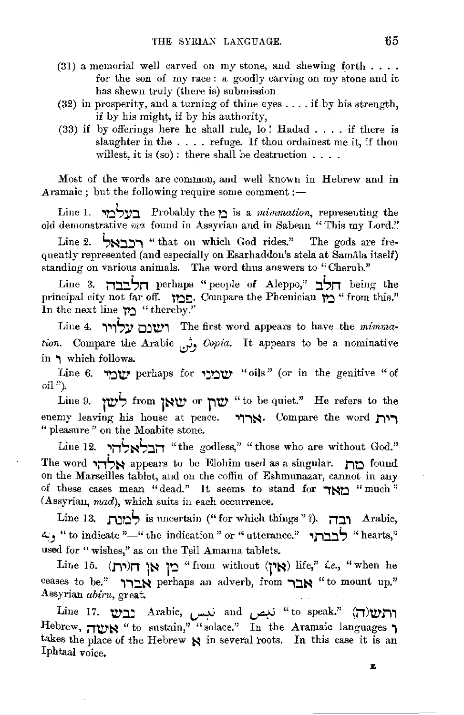- (31) a memorial well carved on my stone, and shewing forth . . . . for the son of my race : a goodly carving on my stone and it has shewn truly (there is) submission
- (32) in prosperity, and a turning of thine eyes .... if by his strength, if by his might, if by his authority,
- $(33)$  if by offerings here he shall rule, lo! Hadad .... if there is slaughter in the .... refuge. If thou ordainest me it, if thou willest, it is  $(s_0)$ : there shall be destruction . . . .

Most of the words are common, and well known in Hebrew and in Aramaic ; but the following require some comment  $:$  -

Line 1. **,,:ii,y::i,** Probably the **t)** is a *mimmation,* represeuting the old demonstrative *ma* found in Assyrian and in Sabean "This my Lord."

Line 2. **הרראל** "that on which God rides." The gods are frequently represented (and especially on Esarhaddon's stela at Samala itself) standing on various animals. The word thus answers to "Cherub."

Line 3. **i1::i.::i.Sn** perhaps "people of Aleppo," **::i.Sn** being the principal city not far off. **ltl~-** Compare the Phcenician **lt)** "from this." In the next line **12** "thereby."

Line 4. **וְעֵינָם עַלוִיוּ** The first word appears to have the *mimmation.* Compare the Arabic *JJ Gopia.* It appears to be a nominative in **i** which follows.

Line 6. **'lt)'IV'** perhaps for **,::n'IV'** "oils " ( or in the genitive " of oil").

Line 9. **low** *lift**low w* **or** *limit**limit* **is to be quiet." He refers to the enemy leaving his house at peace. אַרוּר** " pleasure " on the Moabite stone.

Line 12. **הבלאלהי** "the godless," "those who are without God." The word **'1i1St.:i** appears to be Elohim used as a singular. **r,,:i** found on the Marseilles tablet, and on the coffin of Eshmunazar, cannot in any of these cases mean "dead." It seems to stand for **IND** "much" {Assyrian, *mad),* which suits in each occurrence.

Line 13. **r,::nS** is uncertain (" for which things "?). **i1Ji** Arabic, *~)* "to indicate"-" the indication" or" utterance." **.,r,::i.::i.!:,** "hearts," used for "wishes," as on the Tell Amarna tablets.

Lir,e 15. **(r,,)n jt.:i lti** "from without **q~t.:i)** life," *i.e.,* "when he ceases to be." אברי perhaps an adverb, from אבר Assyrian *abiru,* great.

**MI**: **Line 17. <b>'L**ine 17. **'Let if its and**  $i$ **ن**بص and  $i$ i if  $i$  if  $i$  apeak."  $\left(\prod_{i=1}^{n}X_i\right)$ Hebrew, ו<sup>"to sustain," "solace." In the Aramaic languages</sup> takes the place of the Hebrew  $\aleph$  in several roots. In this case it is an Iphtaal voice.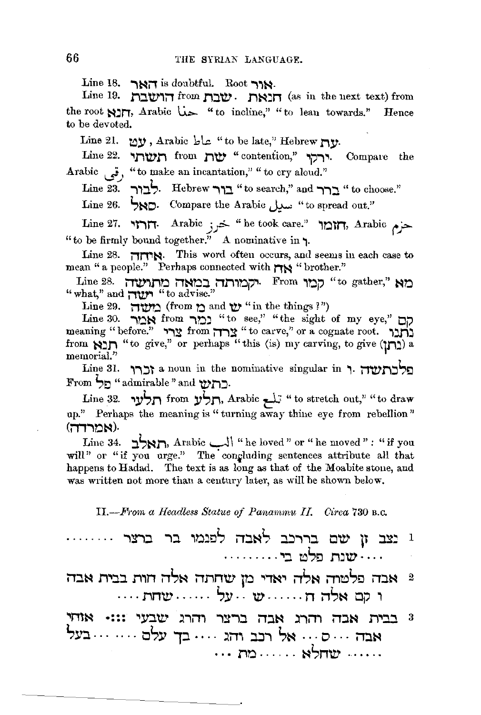Line 18.  $\rightarrow$ Nii is doubtful. Root  $\rightarrow$ N:

Line 19. **.i'l'.:l'W'1;"'1** from **ti:l'W'. r,~:r,** (as in the next text) from the root **~,:ir,,** Arabic U..>- "to incline," "to lean towards." Hence to be devoted.

Line 21. **tol,',** Arabic l:,\.;:. "to be late," Hebrew *r,\_v.* 

Line 22. **.,.li'tV'.li** from **r,rw,** "contention," .,11.,.,\_ Compal'e the Arabic  $\ddot{\mathbf{g}}$ , "to make an incantation," " to cry aloud."

Line 23. **i"l:ll,.** Hebrew **-,,::i** "to search," and **"'\i:l** "to choose."

Line 26. **1, <sup>1</sup>ND.** Compare the Arabic **"to spread out.**"

Line 27. **.,1-,r,.** Arabic *jJ:5-* "he took care." **ir.itn,** Arabic *('* j>- "to be firmly bound together." A nominative in **"1·** 

Line 28. **i'Tn'IN•** This word often occurs, and seems in each case to mean " a people." Perhaps connected with **r** 

Line 28. **;"'T\?11.lir.l ;"'TNr.l'.:l it.li1r.lj?.,·** From **ir.ip** "to gather," **Nr.l**  "what," and **inty in** "to advise."

 $\lim_{\Omega}$  29. **i**  $\lim_{\Omega} \Omega$  and  $\lim_{\Omega} \Omega$  in the things <sup>1</sup>")

Line 30. **-,ON** from **iO.::I** "to see," "the sight of my eye," **op**  meaning "before." צרד from צרד "to carve," or a cognate root. **מכ**ר from **\*.i.** "to give," or perhaps "this (is) my carving, to give  $(\mathbf{I} \mathbf{I})$  a memorial."

Line 31. **"וֹרֵרוֹ** a noun in the nominative singular in ,. בלכת עדו From ',:, "admirable" and **u,r,:=.** 

Line 32. **,.v',.n** from **\_v1,r,,** Arabic ~ "to stretch out," "to draw up." Perhaps the meaning is "turning away thine eye from rebellion" **cm,** אמרדה).

**Line 34. :: "DIT, Arabic Line loved" or "he moved" : "if you** will" or "if you urge." The congluding sentences attribute all that happens to Hadad. The text is as long as that of the Moabite stone, and was written not more than a century later, as will be shown below.

II.-.F1rom *a Headless Statue of Panammu IL Circa* 730 B.c.

| <sup>1</sup> נצב זן שם בררכב לאבה לפנמו בר ברצר |  |            |  |  |  |
|-------------------------------------------------|--|------------|--|--|--|
|                                                 |  | שנת פלט בי |  |  |  |

- **li:lN r,.,::i::i .n,n nSN i1rinw tr.i .,iN., nSN ili?DSo ii:iN** <sup>2</sup> .. • . **rin'tV'** . . . . . . *S.v* . . **'IV'** ...... **n i11,~ op** ,
- **.,l"1l~** •::: **.,.V:l't?.' .liiT1 .,:::-,::i li:l~ .)""n, it:::J.N r,.,:n,** <sup>3</sup> **S:v::::i.** . . . . . . . **oS:v 1:l** . . . . **.li1i ::i.::i,** ,~ ... **<sup>o</sup>**. . . **il::i~**  . . . *no* . . . . . . **~1,r,u,** ..... .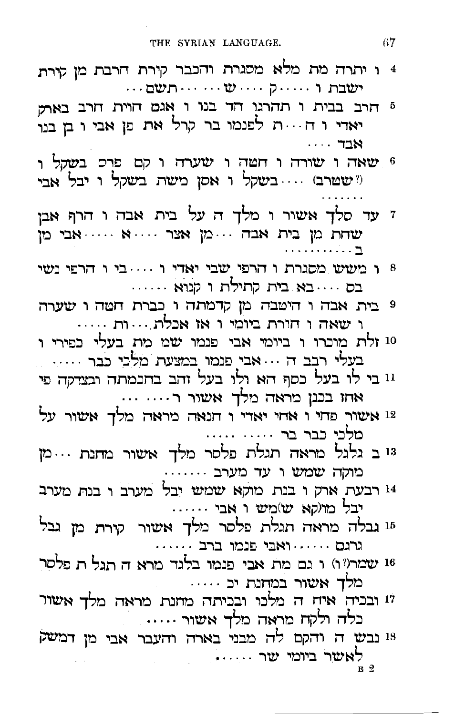- 4 ו יתרה מת מלא מסגרת והכבר קירת חרבת מן קירת
- 5 חרב בבית ו תהרגו חד בנו ו אגם חוית חרב באר: יאדי ו ח...ת לפנמו בר קרל את פן אבי ו בן בנו  $\cdot$ . אבד
- 6 שאה ו שורה ו חטה ו שערה ו קם פרס בשקל ו ("שטרב) .... בשקל ו אסן משת בשקל ו יבל אבי
- ז עד סלך אשור ו מלך ה על בית אבה ו הרף אבן שחת מן בית אבה ...מן אצר ....א .....אבי מן
- י הרפי נשי החברת החופי הודי היה היה החבר החבי ה בס .... בא בית קתילת ו קנוא ......
- 9 בית אבה ו היטבה מן קדמתה ו כברת חטה ו שערה ו שאה ו חורת ביומי ו אז אכלת....ות .....
- 10 זלת מוכרו ו ביומי אבי פנמו שמ מת בעלי כפירי ו בעלי רבב ה ... אבי פנמו במצעת מלכי כבר .....
- 11 בי לו בעל כסף הא ולו בעל זהב בתכמתה ובצדקה פי אחו בכנן מראה מלך אשור ר.... ...
- 12 אשור פחי ו אחי יאדי ו הנאה מראה מלך אשור על מלני נבר בר ..... ....
- 13 ב גלגל מראה תגלת פלסר מלך אשור מחנת ...מן . .. מוקה שמש ו עד מערב
- 14 רבעת ארק ו בנת מוקא שמש יבל מערב ו בנת מערב יבל מו(קא ש)מש ו אבי
- 15 גבלה מראה תגלת פלסר מלך אשור קירת מן גבל גרגם . . . . . . ואבי פנמו ברב
- 16 שמר(17) ו גם מת אבי פנמו בלגד מרא ה תגל ת פלסר
- מלך אשור במחנת יכ .....<br><sup>17</sup> ובכיה איח ה מלכו ובכיתה מחנת מראה מלך אשור .<br>כלה ולקח מראה מלך אשור .....
- 18 נבש ה והקם לה מבני בארה והעבר אבי מן דמשק לאשר ביומי שר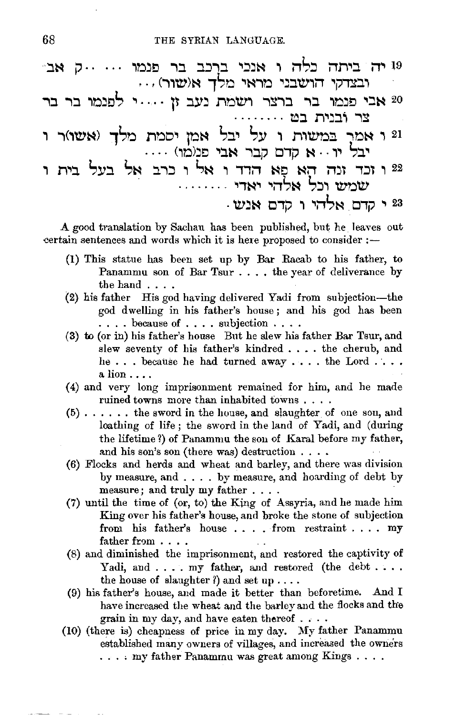- יה ביתה כלה ו אנכי ברכב בר פנמו ... ..ק אב<sup>.</sup><br>ובצדקי הושבני מראי מלך א(שור) ...
- 20 אבי פנמו בר ברצר ושמת נעב זן ....י לפנמו בר בר צר ובנית בט
- .<br>21 ו אמר במשות ו על יבל אמן יסמת מלך (אשו)ר ו<br>יבל יו א קדם קבר אבי פנומו) ....
- 22 ו זכד זנה הא פָא הדד ו אל ו כרב אל בעל בית ו שמש וכל אלהי יאדי

23 י קדם אלהי ו קדם אנש

A good translation by Sachau has been published, but he leaves out certain sentences and words which it is here proposed to consider :-

- (1) This statue has been set up by Bar Racab to his father, to Panammu son of Bar Tsur . . . . the year of deliverance by the hand  $\ldots$
- (2) his father His god having delivered Yadi from subjection-the god dwelling in his father's house; and his god has been  $\ldots$  because of  $\ldots$  subjection  $\ldots$ .
- (3) to (or in) his father's house But he slew his father Bar Tsur, and slew seventy of his father's kindred . . . . the cherub, and he... because he had turned away .... the Lord ....  $a$   $\lim \ldots$
- (4) and very long imprisonment remained for him, and he made ruined towns more than inhabited towns....
- $(5)$ ...... the sword in the house, and slaughter of one son, and loathing of life; the sword in the land of Yadi, and (during the lifetime?) of Panammu the son of Karal before my father, and his son's son (there was) destruction  $\dots$
- (6) Flocks and herds and wheat and barley, and there was division by measure, and . . . . by measure, and hoarding of debt by measure; and truly my father . . . .
- (7) until the time of (or, to) the King of Assyria, and he made him King over his father's house, and broke the stone of subjection from his father's house . . . . from restraint . . . . my father from . . . .
- (8) and diminished the imprisonment, and restored the captivity of Yadi, and . . . . my father, and restored (the debt.... the house of slaughter?) and set up . . . .
- (9) his father's house, and made it better than beforetime. And I have increased the wheat and the barley and the flocks and the grain in my day, and have eaten thereof . . . .
- (10) (there is) cheapness of price in my day. My father Panammu established many owners of villages, and increased the owners  $\ldots$  my father Panammu was great among Kings....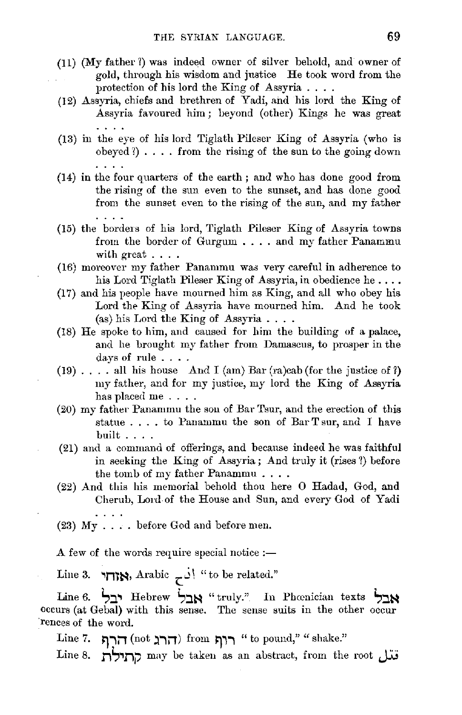- (11) (My father!) was indeed owner of silver behold, and owner of gold, through his wisdom and justice He took word from the protection of his lord the King of Assyria . . . .
- (12) Assyria, chiefs and brethren of Yadi, and his lord the King of Assyria favoured him; beyond (other) Kings he was great
- (13) in the eye of his lord Tiglath Pileser King of Assyria (who is obeyed  $\{ \}$ .... from the rising of the sun to the going down
- $(14)$  in the four quarters of the earth; and who has done good from the rising of the sun even to the sunset, and has done good from the sunset even to the rising of the sun, and my father  $\cdots$
- (15) the borders of his lord, Tiglath Pileser King of Assyria towns from the border of Gurgum . . . . and my father Panammu with great . . . .
- (16) moreover my father Panammu was very careful in adherence to his Lord Tiglath Pileser King of Assyria, in obedience he....
- (17) and his people have mourned him as King, and all who obey his Lord the King of Assyria have mourned him. And he took (as) his Lord the King of Assyria ....
- (18) He spoke to him, and caused for him the building of a palace, and he brought my father from Damascus, to prosper in the days of rule . . . .
- (19) .... all his house And I (am) Bar (ra)cab (for the justice of  $\ell$ ) my father, and for my justice, my lord the King of Assyria has placed me....
- (20) my father Panammu the son of Bar Tsur, and the erection of this statue  $\ldots$  to Panammu the son of Bar T sur, and I have built ... .
- (21) and a command of offerings, and because indeed he was faithful in seeking the King of Assyria; And truly it (rises 1) before the tomb of my father Panammu ....
- (22) And this his memorial behold thou here O Hadad, God, and Cherub, Lord.of the House and Sun, and every God of Yadi
- (23)  $My \ldots$  before God and before men.

A few of the words require special notice  $:$ 

Line 3. **אזחי,** Arabic  $\cdot$  j  $\cdot$  to be related."

Line 6. **',J,'I** Hebrew **',J,ts** "truly." In Phcenician texts **',:its** occurs (at Gebal) with this sense. The sense suits in the other occur ·rences of the word.

 $\text{Line 7. } \text{ mTr}(\text{not } \text{m}) \text{ from } \text{m}^* \text{ to pound}, " \text{ "shake."}$ 

Line 8. *r,',,r,;,* may be taken as an abstract, from the root **J:u**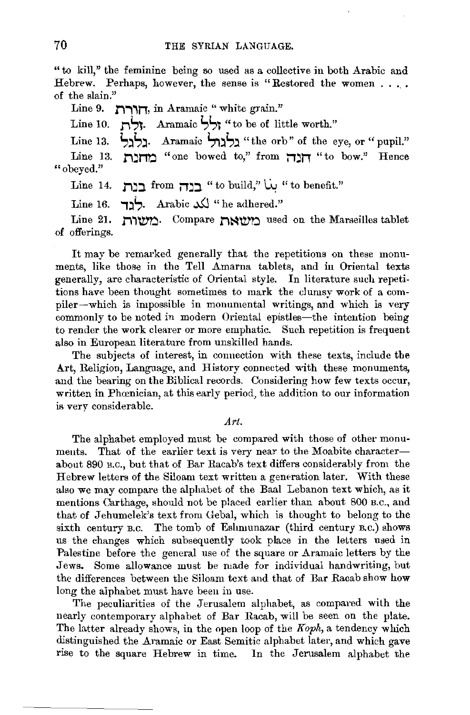"to kill," the feminine being so used as a collective in both Arabic and Hebrew. Perhaps, however, the sense is "Restored the women .... of the slain."

Line 9. **הורח**, in Aramaic "white grain."

Line 10. **right**. Aramaic **i,independent in the worth.**"

Line 13. **i,;ii,;i.** Aramaic **S,;ii,;i** "the orb" of the eye, or "pupil."

Line 13. **r,jr,o** "one bowed to," from **jjjt,** "to bow." Hence "obeyed."

Line 14. **Jihist: if dependent july** "to build,"  $\dot{w}$  " to benefit."

Line 16. **.** ب<sup>ا</sup>د . Arabic مركز \* he adhered."

Line 21. **1'1'1\V'O·** Compare **Ji~\Vtl** used on the Marseilles tablet of offerings.

It may be remarked generally that the repetitions on these monuments, like those in the Tell Amarna tablets, and in Oriental texts generally, are characteristic of Oriental style. In literature such repetitions have been thought sometimes to mark the clumsy work of a compiler-which is impossible in monumental writings, and which is very commonly to be noted in modern Oriental epistles-the intention being to render the work clearer or more emphatic. Such repetition is frequent also in European literature from unskilled hands.

The subjects of interest, in connection with these texts, include the Art, Religion, Language, and History connected with these monuments, and the bearing on the Biblical records. Considering how few texts occur, written in Phoenician, at this early period, the addition to our information is very considerable.

*.Art.* 

The alphabet employed must be compared with those of other monuments. That of the earlier text is very near to the Moabite characterabout 890 B.c., but that of Bar Racab's text differs considerably from the Hebrew letters of the Siloam text written a generation later. With these also we may compare the alphabet of the Baal Lebanon text which, as it mentions Carthage, should not be placed earlier than about 800 B.c., and that of Jehumelek's text from Gebal, which is thought to belong to the sixth century B,c. The tomb of Eshmunazar (third century B.c.) shows us the changes which subsequently took place **in** the letters used in Palestine before the general use of the square or Aramaic letters by the Jews. Some allowance must be made for individual handwriting, but the differences between the Siloam text and that of Bar Racab show **how**  long the alphabet must have been in use.

The peculiarities of the Jerusalem alphabet, as compared with the nearly contemporary alphabet of Bar Racab, will be seen on the plate. The latter already shows, in the open loop of the *Koph,* a tendency which distinguished the Aramaic or East Semitic alphabet later, and which gave rise to the square Hebrew in time. In the Jerusalem alphabet the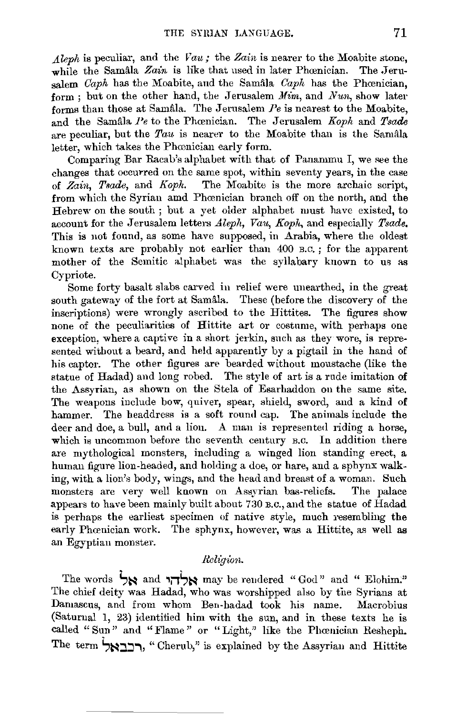*Aleph* is peculiar, and the *Vau;* the *Zain* is nearer to the Moabite stone, while the Samala *Zain* is like that used in later Phoenician. The Jerusalem *Caph* has the Moabite, and the Samala, *Caph* has the Phoenician, form; but on the other hand, the Jerusalem *Mim*, and *Nun*, show later forms than those at Samala. The Jerusalem *Pe* is nearest to the Moabite, and the Samala *Pe* to the Phœnician. The Jerusalem *Koph* and *Tsade* are peculiar, but the  $Tau$  is nearer to the Moabite than is the Samala letter, which takes the Phœnician early form.

Comparing Bar Racab's alphabet with that of Panammu I, we see the changes that occurred on the same spot, within seventy years, in the case of *Zain, Tsade,* and *Koph.* The Moabite is the more archaic script, from which the Syrian amd Phœnician branch off on the north, and the Hebrew on the south ; but a yet older alphabet must have existed, to account for the Jerusalem letters *Aleph, Vau, Koph,* and especially *Tsade.*  This is not found, as some have supposed, in Arabia, where the oldest known texts are probably not earlier than 400 B.c. ; for the apparent mother of the Semitic alphabet was the syllabary known to us as Cypriote.

Some forty basalt slabs carved in relief were unearthed, in the great south gateway of the fort at Samala. These (before the discovery of the inscriptions) were wrongly ascribed to the Hittites. The figures show none of the peculiarities of Hittite art or costume, with perhaps one exception, where a captive in a short jerkin, such as they wore, is represented without a beard, and held apparently by a pigtail in the hand of his captor. The other figures are bearded without moustache (like the statue of Hadad) and long robed. The style of art is a rude imitation of the Assyrian, as shown on the Stela of Esarhaddon on the same site. The weapons include bow, quiver, spear, shield, sword, and a kind of hammer. The headdress is a soft round cap. The animals include the deer and doe, a bull, and a lion. A man is represented riding a horse, which is uncommon before the seventh century B.C. In addition there are mythological monsters, including a winged lion standing erect, a human figure lion-headed, and holding a doe, or hare, and a sphynx walking, with a lion's body, wings, and the head and breast of a woman. Such monsters are very well known on Assyrian bas-reliefs. The palace appears to have been mainly built about 730 B.c., and the statue of Hadad is perhaps the earliest specimen of native style, much resembling the early Phœnician work. The sphynx, however, was a Hittite, as well as an Egyptian monster.

# Religion.

The words  $\overleftrightarrow{g}$ and  $\overleftrightarrow{g}$ להי may be rendered "God" and " Elohim;" The chief deity was Hadad, who was worshipped also by the Syrians at Damascus, and from whom Ben-hadad took his name. Macrobius (Saturnal 1, 23) identified him with the sun, and in these texts he is called "Sun" and "Flame" or "Light," like the Phœnician Resheph. The term **Si:-:i::i.:ii,** "Cherub," is explained by the Assyrian and Hittite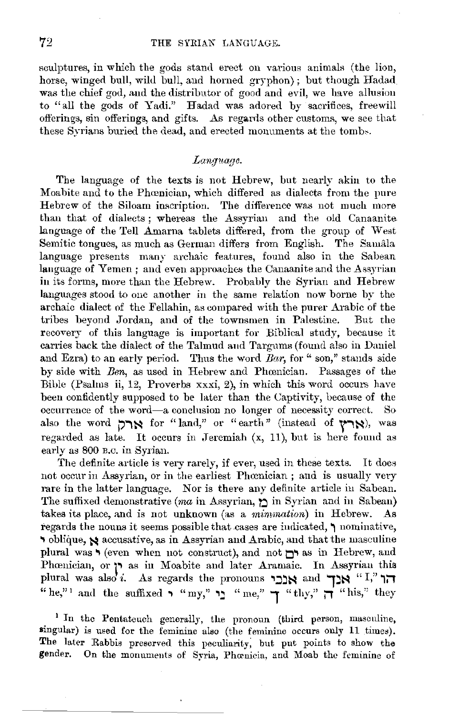sculptures, in which the gods stand erect on various animals (the lion, horse, winged bull, wild bull, and horned gryphon); but though Hadad. was the chief god, and the distributor of good and evil, we have allusion to "all the gods of Yadi." Hadad was adored by sacrifices, freewill offerings, sin offerings, and gifts. As regards other customs, we see that these Syrians buried the dead, and erected monuments at the tombs.

## *Language.*

The language of the texts is not Hebrew, but nearly akin to the Moabite and to the Phœnician, which differed as dialects from the pure Hebrew of the Siloam inscription. The difference was not much more than that of dialects ; whereas the Assyrian and the old Canaanite language of the Tell Amarna tablets differed, from the group of West Semitic tongues, as much as German differs from English. The Samala language presents many archaic features, found also in the Sabean language of Yemen; and even approaches the Canaanite and the Assyrian in its forms, more than the Hebrew. Probably the Syrian and Hebrew languages stood to one another in the same relation now borne by the archaic dialect of the Fellahin, as compared with the purer Arabic of the tribes beyond Jordan, and of the townsmen in Palestine. But the recovery of this language is important for Biblical study, because it carries back the dialect of the Talmud and Targums (found also in Daniel and Ezra) to an early period. Thus the word *Bar*, for "son," stands side by side with *Ben,* as used in Hebrew and Phamician. Passages of the Bible (Psalms ii, 12, Proverbs xxxi, 2), in which this word occurs have been confidently supposed to be later than the Captivity, because of the occurrence of the word-a conclusion no longer of necessity correct. So also the word הארל for "land," or "earth" (instead of  $\gamma$ רל), was regarded as late. It occurs in Jeremiah  $(x, 11)$ , but is here found as early as 800 B.c. in Syrian.

The definite article is very rarely, if ever, used in these texts. It does not occur in Assyrian, or in the earliest Phœnician; and is usually very rare in the latter language. Nor is there any definite article in Sabean. The suffixed demonstrative *(ma* in Assyrian, **l'.:)** in Syrian and in Sabean) takes its place, and is not unknown (as a *mimmation)* in Hebrew. As regards the nouns it seems possible that .cases are indicated, **1** nominative, oblique,  $\triangle$  accusative, as in Assyrian and Arabic, and that the masculine plural was **v** (even when not construct), and not **O.** as in Hebrew, and Phrenician, or **r** as in Moabite and later Aramaic. In Assyrian this plural was also i. As regards the pronouns **.,Jj~** and **1:i~** "I," **1iT**   $^{\text{max}}$  and the suffixed . "my," **r**," me," **1** "thy," **1** "his," they"

<sup>1</sup> In the Pentateuch generally, the pronoun (third person, masculine, singular) is used for the feminine also (the feminine occurs only 11 times). The later Rabbis preserved this peculiarity, but put points to show the gender. On the monuments of Syria, Phcenicia, and Moab the feminine of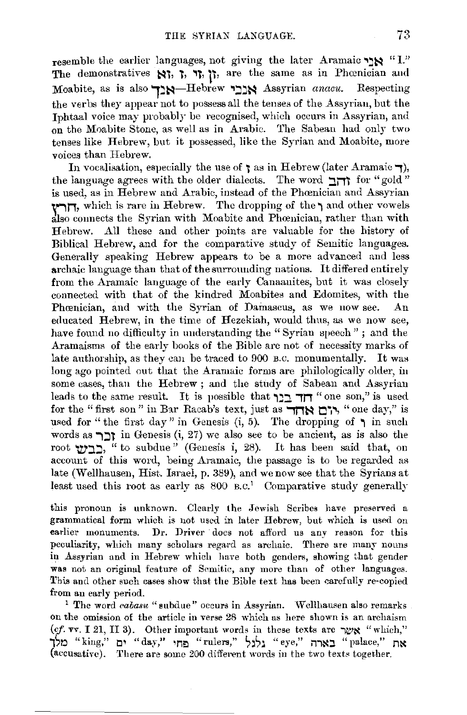resemble the earlier languages, not giving the later Aramaic ... "I." The demonstratives  $\mathbf{N}_i$ ,  $\mathbf{L}_i$ ,  $\mathbf{L}_i$ ,  $\mathbf{L}_i$ ,  $\mathbf{L}_i$ , are the same as in Phoenician aud Moabite, as is also ,~~-Hebrew **'l:l~~** Assyrian *anacu.* Respecting the verbs they appear not to possess all the tenses of the Assyrian, but the Jphtaal voice may probably be recognised, which occurs in Assyrian, and on the Moabite Stone, as well as in Ambic. The Sabean had only two tenses like Hebrew, but it possessed, like the Syrian and Moabite, more voices than Hebrew.

In vocalisation, especially the use of  $\tau$  as in Hebrew (later Aramaic  $\tau$ ), the language agrees with the older dialects. The word **:H.M.** for "gold" is used, as in Hebrew and Arabic, instead of the Phamician and Assyrian **r,n,** which is rare in Hebrew. The dropping of the **"I** and other vowels also connects the Syrian with Moabite and Phcenician, rather than with Hebrew. All these and other points are valuable for the history of Biblical Hebrew, and for the comparative study of Semitic languages. Generally speaking Hebrew appears to be a more advanced and less archaic language than that of the surrounding nations. It differed entirely from the Aramaic language of the early Canaanites, but it was closely connected with that of the kindred Moabites and Edomites, with the Phcenician, and with the Syrian of Damascus, as we now see. An educated Hebrew, in the time of Hezekiah, would thus, as we now see, have found no difficulty in understanding the "Syrian speech"; and the Aramaisms of the early books of the Bible are not of necessity marks of late authorship, as they can be traced to 900 B.C. monumentally. It was long ago pointed out that the Aramaic forms are philologically older, in some cases, than the Hebrew ; and the study of Sabean and Assyrian leads to the same result. It is possible that **דוד** ביר "one son," is used for the "first son" in Bar Racab's text, just as **FITN מ'**ם, " one day," is used for "the first day" in Genesis  $(i, 5)$ . The dropping of  $\uparrow$  in such words as **"וֹן** in Genesis (i, 27) we also see to be ancient, as is also the root **'ty':**, " to subdue" (Genesis i, 28). It has been said that, on account of this word, being Aramaic, the passage is to be regarded as late (Wellhausen, Hist. Israel, p. 389), and we now see that the Syrians at least used this root as early as  $800 \text{ g.c.}$ <sup>1</sup> Comparative study generally

this pronoun is unknown. Clearly the Jewish Scribes have preserved a grammatical form which is not used in later Hebrew, but which is used on earlier monuments. Dr. Driver does not afford us any reason for this peculiarity, which many scholars regard as archaic. There are many nouns in Assyrian and in Hebrew which have both genders, showing that gender was not an original feature of Semitic, any more than of other languages. This and other such cases show that the Bible text has been carefully re-copied

from an early period.<br><sup>1</sup> The word *cabasu* "subdue" occurs in Assyrian. Wellhausen also remarks on the omission of the article in verse 28 which as here shown is an archaism (cf. vv. I 21, II 3). Other important words in these texts are  $\gamma$ **x** "which," **1~0** "king," **t:i'** "day," **'n!:l** "rulers," ~~s~ "eye," **i11:-.tJ** "palace," **n:-.t**  (accusative). There are some 200 different words in the two texts together.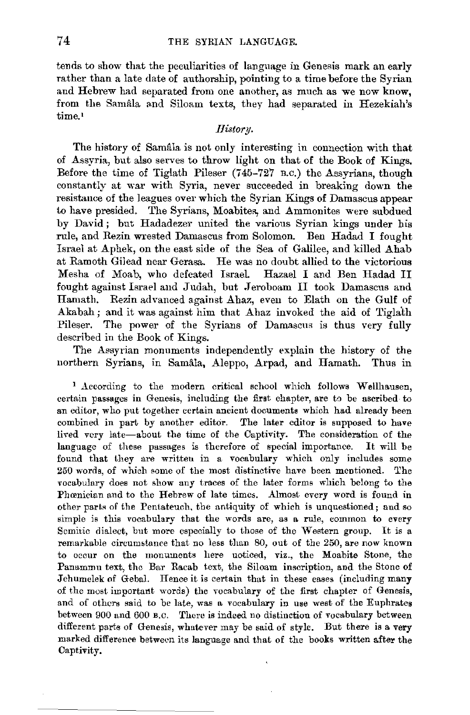tends to show that the peculiarities of language in Genesis mark an early rather than a late date of authorship, pointing to a time before the Syrian and Hebrew had separated from one another, as much as we now know, from the Samâla and Siloam texts, they had separated in Hezekiah's time.<sup>1</sup>

#### *History.*

The history of Samala is not only interesting in connection with that of Assyria, but also serves to throw light on that of the Book of Kings. Before the time of Tiglath Pileser (745-727 B.c.) the Assyrians, though constantly at war with Syria, never succeeded in breaking down the resistance of the leagues over which the Syrian Kings of Damascus appear to have presided. The Syrians, Moabites, and Ammonites were subdued by David; but Hadadezer united the various Syrian kings under his rule, and Rezin wrested Damascus from Solomon. Ben Hadad I fought Israel at Aphek, on the east side of the Sea of Galilee, and killed Ahab at Ramoth Gilead near Gerasa. He was no doubt allied to the victorious Mesha of Moab, who defeated Israel Hazael I and Ben Hadad II fought against Israel and Judah, but Jeroboam II took Damascus and Hamath. Rezin advanced against Ahaz, even to Elath on the Gulf of Akabah; and it was against him that Ahaz invoked the aid of Tiglath Pileser. The power of the Syrians of Damascus is thus very fully described in the Book of Kings.

The Assyrian monuments independently explain the history of the northern Syrians, in Samala, Aleppo, Arpad, and Hamath. Thus in

<sup>1</sup> According to the modern critical school which follows Wellhausen, certain passages in Genesis, including the first chapter, are to be ascribed to an editor, who put together certain ancient documents which had already been combined in part by another editor. The later editor is supposed to have lived very late-about the time of the Captivity. The consideration of the language of these passages is therefore of special importance. It will be found that they are written in a vocabulary which only includes some 250 words, of which some of the most distinctive have been mentioned. The vocabulary does not show any traces of the later forms which belong to the Phœnician and to the Hebrew of late times. Almost every word is found in other parts of the Pentateuch. the antiquity of which is unquestioned; and so simple is this vocabulary that the words are, as a rule, common to every Semitic dialect, but more especially to those of the Western group. It is a remarkable circumstance that no less than 80, out of the 250, are now known to occur on the monuments here noticed, viz., the Moabite Stone, the Panammu text, the Bar Racab text, the Siloam inscription, and the Stone of Jehumelek of Gebal. Hence it is certain that in these cases (including many of the most important words) the vocabulary of the first chapter of Genesis, and of others said to be late, was a vocabulary in use west of the Euphrates between 900 and 600 B.C. There is indeed no distinction of vocabulary between different parts of Genesis, whatever may be said of style. But there is a very marked difference between its language and that of the books written after the Captivity.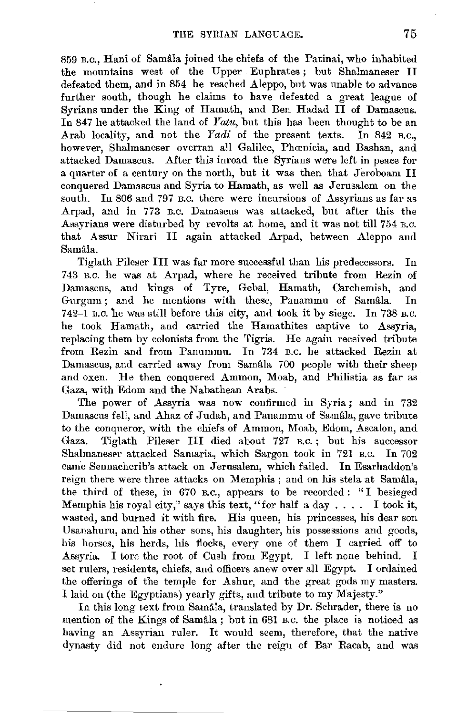859 B.c., Hani of Samala joined the chiefs of the Patinai, who inhabited the mountains west of the Upper Euphrates; but Shalmaneser II defeated them, and in 854 he reached Aleppo, but was unable to advance further south, though he claims to have defeated a great league of Syrians under the King of Hamath, and Ben Hadad II of Damascus. In 847 he attacked the land of *Yatu,* but this has been thought to be an Arab locality, and not the *Yadi* of the present texts. In 842 B.c., however, Shalmaneser overran all Galilee, Phœnicia, and Bashan, and attacked Damascus. After this inroad the Syrians were left in peace for a quarter of a century on the uorth, but it was then that Jeroboam II conquered Damascus and Syria to Hamath, as well as Jerusalem on the south. In 806 and 797 B.c. there were incursions of Assyrians as far as Arpad, and in 773 n.c. Damascus was attacked, but after this the Assyrians were disturbed by revolts at home, and it was not till 754 B.c. that Assur Nirari II again attacked Arpad, between Aleppo and Samala.

Tiglath Pileser III was far more successful than his predecessors. In 743 B.C. he was at Arpad, where he received tribute from Rezin of Damascus, and kings of Tyre, Gebal, Hamath, Carchemish, and Gurgum ; and he mentions with these, Panammu of Samala. In 742-1 B.C. he was still before this city, and took it by siege. In 738 B.C. he took Hamath, and carried the Hamathites captive to Assyria, replacing them by colonists from the Tigris. He again received tribute from Rezin and from Panummu. In 734 B.c. he attacked Rezin at Damascus, and carried away from Samala 700 people with their sheep and oxen. He then conquered Ammon, Moab, and Philistia as far as Gaza, with Edom and the Nabathean Arabs.

The power of Assyria was now confirmed in Syria; and in 732 Damascus fell, and Ahaz of Judah, and Panammu of Samala, gave tribute to the conqueror, with the chiefs of Ammon, Moab, Edom, Ascalon, and Gaza. Tiglath Pileser III died about 727 B.c. ; but his successor Shalmaneser attacked Samaria, which Sargon took in 721 B.C. In 702 cam'e Sennacherib's attack on Jerusalem, which failed. In Esarhaddon's reign there were three attacks on Memphis ; and on his stela at Samala, the third of these, in G70 B.c., appears to be recorded : "I besieged Memphis his royal city," says this text, "for half a day  $\ldots$ . I took it, wasted, and burned it with fire. His queen, his princesses, his dear son Usanahuru, and his other sons, his daughter, his possessions and goods, his horses, his herds, his flocks, every one of them I carried off to Assyria. I tore the root of Cush from Egypt. I left none behind. I set rulers, residents, chiefs, and officers anew over all Egypt. I ordained the offerings of the temple for Ashur, and the great gods my masters. I laid on (the Egyptians) yearly gifts, and tribute to my Majesty."

In this long text from Sama<sub>ia</sub>, translated by Dr. Schrader, there is no nention of the Kings of Samala; but in 681 B.c. the place is noticed as having an Assyrian ruler. It would seem, therefore, that the native dynasty did not endure long after the reign of Bar Racab, and was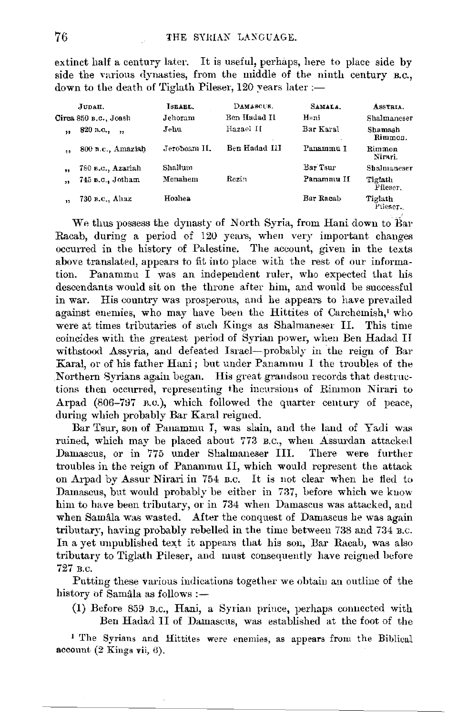extinct half a century later. It is useful, perhaps, here to place side by side the various dynasties, from the middle of the ninth century B.C., down to the death of Tiglath Pileser, 120 years later :-

| JUDAH.    |                             | ISBAEL.      | DAMASCUS.     | SAMALA.    | ASSYRIA.            |
|-----------|-----------------------------|--------------|---------------|------------|---------------------|
|           | Circa 850 в.с., Joash       | Jehoram      | Ben Hadad II  | Hani       | Shalmaneser         |
| $^{\ast}$ | 820 n.c.,<br>$\overline{1}$ | Jehu         | Hazael II     | Bar Karal  | Shamash<br>Rimmon.  |
| 44        | 800 B.C., Amaziah           | Jeroboam II. | Ben Hadad III | Panammu I  | Rimmon<br>Nirari.   |
| ,         | 780 в.с., Azariah           | Shallum      |               | Bar Tsur   | Shalmaneser         |
| ,,        | 745 B.C., Jotham            | Menahem      | Rezin         | Panamnu If | Tiglath<br>Pileser, |
| $\bullet$ | 730 B.C., Ahaz              | Hoshea       |               | Bar Racab  | Tiglath<br>Pileser. |

We thus possess the dynasty of North Syria, from Hani down to Bar Racab, during a period of 120 years, when very important changes occurred in the history of Palestine. The account, given in the texts above translated, appears to fit into place with the rest of our information. Panammu  $\tilde{I}$  was an independent ruler, who expected that his descendants would sit on the throne after him, and would be successful in war. His country was prosperous, and he appears to have prevailed against enemies, who may have been the Hittites of Carchemish, who were at times tributaries of such Kings as Shalmaneser II. This time coincides with the greatest period of Syrian power, when Ben Hadad II withstood Assyria, and defeated Israel-probably in the reign of Bar Karal, or of his father Hani; but under Panammu I the troubles of the Northern Syrians again began. His great grandson records that destructions then occurred, representing the incursions of Rimmon Nirari to Arpad (806-797 B.C.), which followed the quarter century of peace, during which probably Bar Karal reigned.

Bar Tsur, son of Panammu I, was slain, and the land of Yadi was ruined, which may be placed about 773 B.C., when Assurdan attacked Damascus, or in 775 under Shalmaneser III. There were further troubles in the reign of Panammu II, which would represent the attack on Arpad by Assur Nirari in 754 B.C. It is not clear when he fled to Damascus, but would probably be either in 737, before which we know him to have been tributary, or in 734 when Damascus was attacked, and when Samâla was wasted. After the conquest of Damascus he was again tributary, having probably rebelled in the time between 738 and 734 B.C. In a yet unpublished text it appears that his son, Bar Racab, was also tributary to Tiglath Pileser, and must consequently have reigned before 727 в.с.

Putting these various indications together we obtain an outline of the history of Samâla as follows :-

(1) Before 859 B.C., Hani, a Syrian prince, perhaps connected with Ben Hadad II of Damascus, was established at the foot of the

<sup>1</sup> The Syrians and Hittites were enemies, as appears from the Biblical account  $(2$  Kings vii,  $6)$ .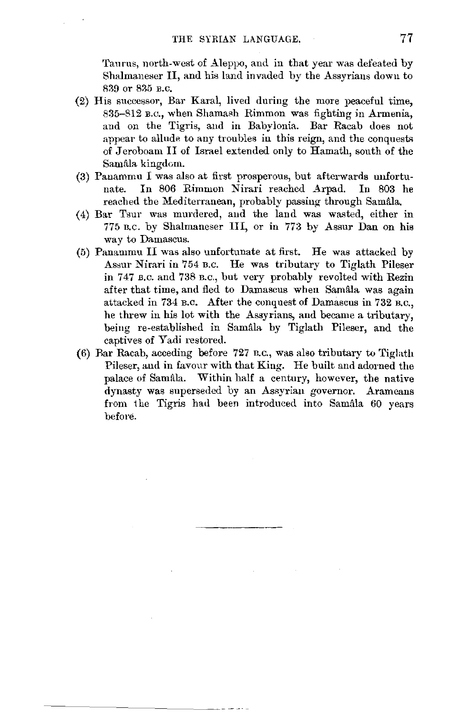Taurus, north-west of Aleppo, and in that year was defeated by Shalmaneser II, and his land invaded by the Assyrians down to 839 or 835 B.c.

- (2) His successor, Bar Karal, lived during the more peaceful time, 835-812 B.C., when Shamash Rimmon was fighting in Armenia, and on the Tigris, and in Babylonia. Bar Racab does not appear to allude to any troubles in this reign, and the conquests of Jeroboam II of Israel extended only to Hamath, south of the Samâla kingdom.
- (3) Panammu I was also at first prosperous, but afterwards unfortunate. In 806 Rimmon Nirari reached Arpad. In 803 he reached the Mediterranean, probably passing through Samala.
- (4) Bar Tsur was murdered, aud the land was wasted, either in 775 n.c. by Shalmaneser III, or in 773 by Assur Dan on his way to Damascus.
- (5) Panammu II was also unfortunate at first. He was attacked by Assur Nirari in 754 B.C. He was tributary to Tiglath Pileser in 747 B.c. and 738 n.c,, but very probably revolted with Rezin after that time, and fled to Damascus when Samala was again attacked in 734 n.c. After the conquest of Damascus in 732 n.c., he threw in his lot with the Assyrians, and became a tributary, being re-established in Samala by Tiglath Pileser, and the captives of Yadi restored.
- (6) Rar Racab, acceding before 727 B.c., was also tributary to Tiglath Pileser, and in favour with that King. He built and adorned the palace of Samâla. Within half a century, however, the native dynasty was superseded by an Assyrian governor. Arameans from the Tigris had been introduced into Samâla 60 years befol'e.